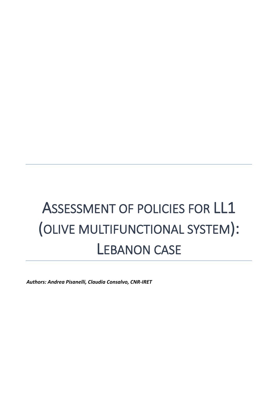# ASSESSMENT OF POLICIES FOR LL1 (OLIVE MULTIFUNCTIONAL SYSTEM): LEBANON CASE

*Authors: Andrea Pisanelli, Claudia Consalvo, CNR-IRET*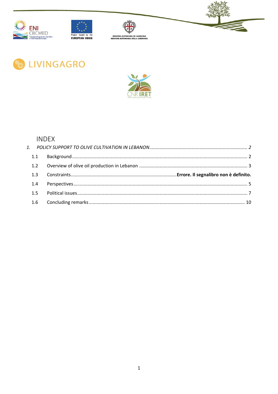











# **INDEX**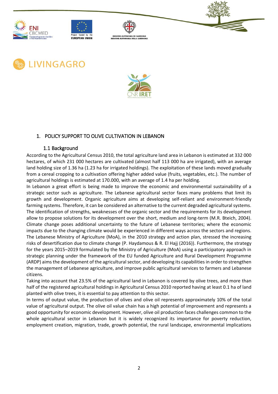











### <span id="page-2-0"></span>1. POLICY SUPPORT TO OLIVE CULTIVATION IN LEBANON

#### 1.1 Background

<span id="page-2-1"></span>According to the Agricultural Census 2010, the total agriculture land area in Lebanon is estimated at 332 000 hectares, of which 231 000 hectares are cultivated (almost half 113 000 ha are irrigated), with an average land holding size of 1.36 ha (1.23 ha for irrigated holdings). The exploitation of these lands moved gradually from a cereal cropping to a cultivation offering higher added value (fruits, vegetables, etc.). The number of agricultural holdings is estimated at 170.000, with an average of 1.4 ha per holding.

In Lebanon a great effort is being made to improve the economic and environmental sustainability of a strategic sector such as agriculture. The Lebanese agricultural sector faces many problems that limit its growth and development. Organic agriculture aims at developing self-reliant and environment-friendly farming systems. Therefore, it can be considered an alternative to the current degraded agricultural systems. The identification of strengths, weaknesses of the organic sector and the requirements for its development allow to propose solutions for its development over the short, medium and long-term (M.R. Bteich, 2004). Climate change poses additional uncertainty to the future of Lebanese territories; where the economic impacts due to the changing climate would be experienced in different ways across the sectors and regions. The Lebanese Ministry of Agriculture (MoA), in the 2010 strategy and action plan, stressed the increasing risks of desertification due to climate change (P. Haydamous & R. El Hajj (2016)). Furthermore, the strategy for the years 2015–2019 formulated by the Ministry of Agriculture (MoA) using a participatory approach in strategic planning under the framework of the EU funded Agriculture and Rural Development Programme (ARDP) aims the development of the agricultural sector, and developing its capabilities in order to strengthen the management of Lebanese agriculture, and improve public agricultural services to farmers and Lebanese citizens.

Taking into account that 23.5% of the agricultural land in Lebanon is covered by olive trees, and more than half of the registered agricultural holdings in Agricultural Census 2010 reported having at least 0.1 ha of land planted with olive trees, it is essential to pay attention to this sector.

In terms of output value, the production of olives and olive oil represents approximately 10% of the total value of agricultural output. The olive oil value chain has a high potential of improvement and represents a good opportunity for economic development. However, olive oil production faces challenges common to the whole agricultural sector in Lebanon but it is widely recognized its importance for poverty reduction, employment creation, migration, trade, growth potential, the rural landscape, environmental implications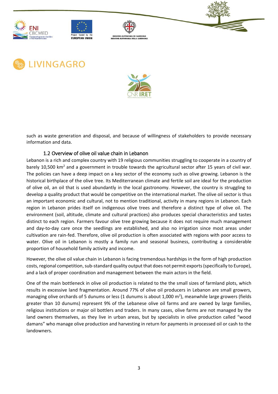











such as waste generation and disposal, and because of willingness of stakeholders to provide necessary information and data.

## 1.2 Overview of olive oil value chain in Lebanon

<span id="page-3-0"></span>Lebanon is a rich and complex country with 19 religious communities struggling to cooperate in a country of barely 10,500 km<sup>2</sup> and a government in trouble towards the agricultural sector after 15 years of civil war. The policies can have a deep impact on a key sector of the economy such as olive growing. Lebanon is the historical birthplace of the olive tree. Its Mediterranean climate and fertile soil are ideal for the production of olive oil, an oil that is used abundantly in the local gastronomy. However, the country is struggling to develop a quality product that would be competitive on the international market. The olive oil sector is thus an important economic and cultural, not to mention traditional, activity in many regions in Lebanon. Each region in Lebanon prides itself on indigenous olive trees and therefore a distinct type of olive oil. The environment (soil, altitude, climate and cultural practices) also produces special characteristics and tastes distinct to each region. Farmers favour olive tree growing because it does not require much management and day-to-day care once the seedlings are established, and also no irrigation since most areas under cultivation are rain-fed. Therefore, olive oil production is often associated with regions with poor access to water. Olive oil in Lebanon is mostly a family run and seasonal business, contributing a considerable proportion of household family activity and income.

However, the olive oil value chain in Lebanon is facing tremendous hardships in the form of high production costs, regional competition, sub-standard quality output that does not permit exports (specifically to Europe), and a lack of proper coordination and management between the main actors in the field.

One of the main bottleneck in olive oil production is related to the the small sizes of farmland plots, which results in excessive land fragmentation. Around 77% of olive oil producers in Lebanon are small growers, managing olive orchards of 5 dunums or less (1 dunums is about 1,000 m<sup>2</sup>), meanwhile large growers (fields greater than 10 dunums) represent 9% of the Lebanese olive oil farms and are owned by large families, religious institutions or major oil bottlers and traders. In many cases, olive farms are not managed by the land owners themselves, as they live in urban areas, but by specialists in olive production called "wood damans" who manage olive production and harvesting in return for payments in processed oil or cash to the landowners.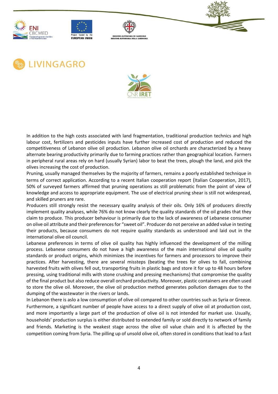











In addition to the high costs associated with land fragmentation, traditional production technics and high labour cost, fertilizers and pesticides inputs have further increased cost of production and reduced the competitiveness of Lebanon olive oil production. Lebanon olive oil orchards are characterized by a heavy alternate bearing productivity primarily due to farming practices rather than geographical location. Farmers in peripheral rural areas rely on hard (usually Syrian) labor to beat the trees, plough the land, and pick the olives increasing the cost of production.

Pruning, usually managed themselves by the majority of farmers, remains a poorly established technique in terms of correct application. According to a recent Italian cooperation report (Italian Cooperation, 2017), 50% of surveyed farmers affirmed that pruning operations as still problematic from the point of view of knowledge and access to appropriate equipment. The use of electrical pruning shear is still not widespread, and skilled pruners are rare.

Producers still strongly resist the necessary quality analysis of their oils. Only 16% of producers directly implement quality analyses, while 76% do not know clearly the quality standards of the oil grades that they claim to produce. This producer behaviour is primarily due to the lack of awareness of Lebanese consumer on olive oil attribute and their preferences for "sweet oil". Producer do not perceive an added value in testing their products, because consumers do not require quality standards as understood and laid out in the international olive oil council.

Lebanese preferences in terms of olive oil quality has highly influenced the development of the milling process. Lebanese consumers do not have a high awareness of the main international olive oil quality standards or product origins, which minimizes the incentives for farmers and processors to improve their practices. After harvesting, there are several missteps (beating the trees for olives to fall, combining harvested fruits with olives fell out, transporting fruits in plastic bags and store it for up to 48 hours before pressing, using traditional mills with stone crushing and pressing mechanisms) that compromise the quality of the final product but also reduce overall orchard productivity. Moreover, plastic containers are often used to store the olive oil. Moreover, the olive oil production method generates pollution damages due to the dumping of the wastewater in the rivers or lands.

In Lebanon there is aslo a low consumption of olive oil compared to other countries such as Syria or Greece. Furthermore, a significant number of people have access to a direct supply of olive oil at production cost, and more importantly a large part of the production of olive oil is not intended for market use. Usually, households' production surplus is either distributed to extended family or sold directly to network of family and friends. Marketing is the weakest stage across the olive oil value chain and it is affected by the competition coming from Syria. The pilling up of unsold olive oil, often stored in conditions that lead to a fast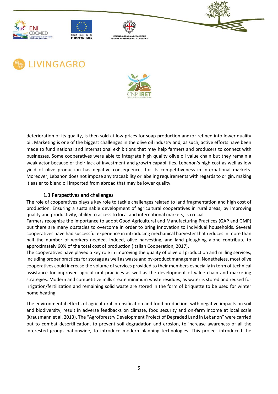











deterioration of its quality, is then sold at low prices for soap production and/or refined into lower quality oil. Marketing is one of the biggest challenges in the olive oil industry and, as such, active efforts have been made to fund national and international exhibitions that may help farmers and producers to connect with businesses. Some cooperatives were able to integrate high quality olive oil value chain but they remain a weak actor because of their lack of investment and growth capabilities. Lebanon's high cost as well as low yield of olive production has negative consequences for its competitiveness in international markets. Moreover, Lebanon does not impose any traceability or labeling requirements with regards to origin, making it easier to blend oil imported from abroad that may be lower quality.

#### 1.3 Perspectives and challenges

<span id="page-5-0"></span>The role of cooperatives plays a key role to tackle challenges related to land fragmentation and high cost of production. Ensuring a sustainable development of agricultural cooperatives in rural areas, by improving quality and productivity, ability to access to local and international markets, is crucial.

Farmers recognize the importance to adopt Good Agricultural and Manufacturing Practices (GAP and GMP) but there are many obstacles to overcome in order to bring innovation to individual households. Several cooperatives have had successful experience in introducing mechanical harvester that reduces in more than half the number of workers needed. Indeed, olive harvesting, and land ploughing alone contribute to approximately 60% of the total cost of production (Italian Cooperation, 2017).

The cooperatives have played a key role in improving the quality of olive oil production and milling services, including proper practices for storage as well as waste and by-product management. Nonetheless, most olive cooperatives could increase the volume of services provided to their members especially in term of technical assistance for improved agricultural practices as well as the development of value chain and marketing strategies. Modern and competitive mills create minimum waste residues, as water is stored and reused for irrigation/fertilization and remaining solid waste are stored in the form of briquette to be used for winter home heating.

The environmental effects of agricultural intensification and food production, with negative impacts on soil and biodiversity, result in adverse feedbacks on climate, food security and on-farm income at local scale (Krausmann et al. 2013). The "Agroforestry Development Project of Degraded Land in Lebanon" were carried out to combat desertification, to prevent soil degradation and erosion, to increase awareness of all the interested groups nationwide, to introduce modern planning technologies. This project introduced the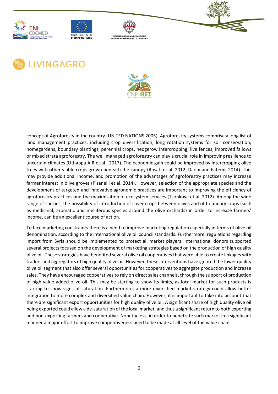











concept of Agroforesty in the country (UNITED NATIONS 2005). Agroforestry systems comprise a long list of land management practices, including crop diversification, long rotation systems for soil conservation, homegardens, boundary plantings, perennial crops, hedgerow intercropping, live fences, improved fallows or mixed strata agroforestry. The well managed agroforestry can play a crucial role in improving resilience to uncertain climates (Uthappa A R et al., 2017). The economic gain could be improved by intercropping olive trees with other viable crops grown beneath the canopy (Rosati et al. 2012, Daoui and Fatemi, 2014). This may provide additional income, and promotion of the advantages of agroforestry practices may increase farmer interest in olive groves (Pisanelli et al. 2014). However, selection of the appropriate species and the development of targeted and innovative agronomic practices are important to improving the efficiency of agroforestry practices and the maximisation of ecosystem services (Tsonkova et al. 2012). Among the wide range of species, the possibility of introduction of cover crops between olives and of boundary crops (such as medicinal, aromatic and melliferous species around the olive orchards) in order to increase farmers' income, can be an excellent course of action.

To face marketing constraints there is a need to improve marketing regulation especially in terms of olive oil denomination, according to the international olive oil council standards. Furthermore, regulations regarding import from Syria should be implemented to protect all market players. International donors supported several projects focused on the development of marketing strategies based on the production of high quality olive oil. These strategies have benefited several olive oil cooperatives that were able to create linkages with traders and aggregators of high quality olive oil. However, these interventions have ignored the lower quality olive oil segment that also offer several opportunities for cooperatives to aggregate production and increase sales. They have encouraged cooperatives to rely on direct sales channels, through the support of production of high value-added olive oil. This may be starting to show its limits, as local market for such products is starting to show signs of saturation. Furthermore, a more diversified market strategy could allow better integration to more complex and diversified value chain. However, it is important to take into account that there are significant export opportunities for high quality olive oil. A significant share of high quality olive oil being exported could allow a de-saturation of the local market, and thus a significant return to both exporting and non-exporting farmers and cooperative. Nonetheless, in order to penetrate such market in a significant manner a major effort to improve competitiveness need to be made at all level of the value chain.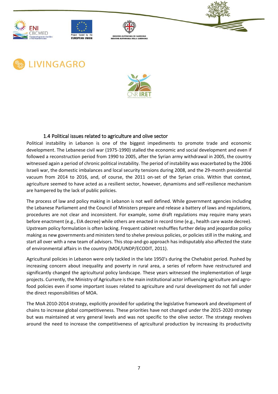











#### 1.4 Political issues related to agriculture and olive sector

<span id="page-7-0"></span>Political instability in Lebanon is one of the biggest impediments to promote trade and economic development. The Lebanese civil war (1975-1990) stalled the economic and social development and even if followed a reconstruction period from 1990 to 2005, after the Syrian army withdrawal in 2005, the country witnessed again a period of chronic political instability. The period of instability was exacerbated by the 2006 Israeli war, the domestic imbalances and local security tensions during 2008, and the 29-month presidential vacuum from 2014 to 2016, and, of course, the 2011 on-set of the Syrian crisis. Within that context, agriculture seemed to have acted as a resilient sector, however, dynamisms and self-resilience mechanism are hampered by the lack of public policies.

The process of law and policy making in Lebanon is not well defined. While government agencies including the Lebanese Parliament and the Council of Ministers prepare and release a battery of laws and regulations, procedures are not clear and inconsistent. For example, some draft regulations may require many years before enactment (e.g., EIA decree) while others are enacted in record time (e.g., health care waste decree). Upstream policy formulation is often lacking. Frequent cabinet reshuffles further delay and jeopardize policy making as new governments and ministers tend to shelve previous policies, or policies still in the making, and start all over with a new team of advisors. This stop-and-go approach has indisputably also affected the state of environmental affairs in the country (MOE/UNDP/ECODIT, 2011).

Agricultural policies in Lebanon were only tackled in the late 1950's during the Chehabist period. Pushed by increasing concern about inequality and poverty in rural area, a series of reform have restructured and significantly changed the agricultural policy landscape. These years witnessed the implementation of large projects. Currently, the Ministry of Agriculture is the main institutional actor influencing agriculture and agrofood policies even if some important issues related to agriculture and rural development do not fall under the direct responsibilities of MOA.

The MoA 2010-2014 strategy, explicitly provided for updating the legislative framework and development of chains to increase global competitiveness. These priorities have not changed under the 2015-2020 strategy but was maintained at very general levels and was not specific to the olive sector. The strategy revolves around the need to increase the competitiveness of agricultural production by increasing its productivity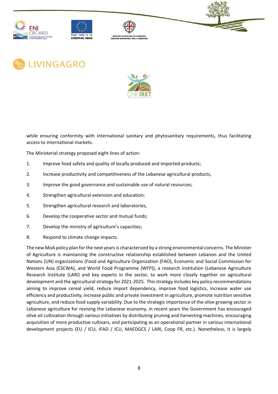











while ensuring conformity with international sanitary and phytosanitary requirements, thus facilitating access to international markets.

The Ministerial strategy proposed eight lines of action:

- 1. Improve food safety and quality of locally produced and imported products;
- 2. Increase productivity and competitiveness of the Lebanese agricultural products,
- 3. Improve the good governance and sustainable use of natural resources;
- 4. Strengthen agricultural extension and education:
- 5. Strengthen agricultural research and laboratories,
- 6. Develop the cooperative sector and mutual funds;
- 7. Develop the ministry of agriculture's capacities;
- 8. Respond to climate change impacts.

The new MoA policy plan for the next years is characterized by a strong environmental concerns. The Minister of Agriculture is maintaining the constructive relationship established between Lebanon and the United Nations (UN) organizations (Food and Agriculture Organization (FAO), Economic and Social Commission for Western Asia (ESCWA), and World Food Programme (WFP)), a research institution (Lebanese Agriculture Research Institute (LARI) and key experts in the sector, to work more closely together on agricultural development and the agricultural strategy for 2021-2025. This strategy includes key policy recommendations aiming to improve cereal yield, reduce import dependency, improve food logistics, increase water use efficiency and productivity, increase public and private investment in agriculture, promote nutrition sensitive agriculture, and reduce food supply variability. Due to the strategic importance of the olive growing sector in Lebanese agriculture for reviving the Lebanese economy, in recent years the Government has encouraged olive oil cultivation through various initiatives by distributing pruning and harvesting machines, encouraging acquisition of more productive cultivars, and participating as an operational partner in various international development projects (EU / ICU, IFAD / ICU, MAEDGCS / LARI, Coop FR, etc.). Nonetheless, it is largely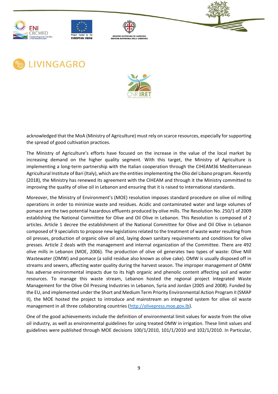











acknowledged that the MoA (Ministry of Agriculture) must rely on scarce resources, especially for supporting the spread of good cultivation practices.

The Ministry of Agriculture's efforts have focused on the increase in the value of the local market by increasing demand on the higher quality segment. With this target, the Ministry of Agriculture is implementing a long-term partnership with the Italian cooperation through the CIHEAM36 Mediterranean Agricultural Institute of Bari (Italy), which are the entities implementing the Olio del Libano program. Recently (2018), the Ministry has renewed its agreement with the CIHEAM and through it the Ministry committed to improving the quality of olive oil in Lebanon and ensuring that it is raised to international standards.

Moreover, the Ministry of Environment's (MOE) resolution imposes standard procedure on olive oil milling operations in order to minimize waste and residues. Acidic and contaminated water and large volumes of pomace are the two potential hazardous effluents produced by olive mills. The Resolution No. 250/1 of 2009 establishing the National Committee for Olive and Oil Olive in Lebanon. This Resolution is composed of 2 articles. Article 1 decree the establishment of the National Committee for Olive and Oil Olive in Lebanon composed of 9 specialists to propose new legislations related to the treatment of waste water resulting from oil presses, production of organic olive oil and, laying down sanitary requirements and conditions for olive presses. Article 2 deals with the management and internal organization of the Committee. There are 492 olive mills in Lebanon (MOE, 2006). The production of olive oil generates two types of waste: Olive Mill Wastewater (OMW) and pomace (a solid residue also known as olive cake). OMW is usually disposed off in streams and sewers, affecting water quality during the harvest season. The improper management of OMW has adverse environmental impacts due to its high organic and phenolic content affecting soil and water resources. To manage this waste stream, Lebanon hosted the regional project Integrated Waste Management for the Olive Oil Pressing Industries in Lebanon, Syria and Jordan (2005 and 2008). Funded by the EU, and implemented under the Short and Medium Term Priority Environmental Action Program II (SMAP II), the MOE hosted the project to introduce and mainstream an integrated system for olive oil waste management in all three collaborating countries [\(http://olivepress.moe.gov.lb\)](http://olivepress.moe.gov.lb/).

One of the good achievements include the definition of environmental limit values for waste from the olive oil industry, as well as environmental guidelines for using treated OMW in irrigation. These limit values and guidelines were published through MOE decisions 100/1/2010, 101/1/2010 and 102/1/2010. In Particular,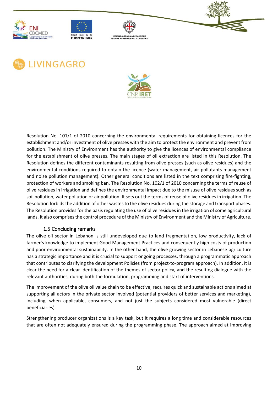











Resolution No. 101/1 of 2010 concerning the environmental requirements for obtaining licences for the establishment and/or investment of olive presses with the aim to protect the environment and prevent from pollution. The Ministry of Environment has the authority to give the licences of environmental compliance for the establishment of olive presses. The main stages of oil extraction are listed in this Resolution. The Resolution defines the different contaminants resulting from olive presses (such as olive residues) and the environmental conditions required to obtain the licence (water management, air pollutants management and noise pollution management). Other general conditions are listed in the text comprising fire-fighting, protection of workers and smoking ban. The Resolution No. 102/1 of 2010 concerning the terms of reuse of olive residues in irrigation and defines the environmental impact due to the misuse of olive residues such as soil pollution, water pollution or air pollution. It sets out the terms of reuse of olive residues in irrigation. The Resolution forbids the addition of other wastes to the olive residues during the storage and transport phases. The Resolution provides for the basis regulating the use of olive residues in the irrigation of some agricultural lands. It also comprises the control procedure of the Ministry of Environment and the Ministry of Agriculture.

### 1.5 Concluding remarks

<span id="page-10-0"></span>The olive oil sector in Lebanon is still undeveloped due to land fragmentation, low productivity, lack of farmer's knowledge to implement Good Management Practices and consequently high costs of production and poor environmental sustainability. In the other hand, the olive growing sector in Lebanese agriculture has a strategic importance and it is crucial to support ongoing processes, through a programmatic approach that contributes to clarifying the development Policies (from project-to-program approach). In addition, it is clear the need for a clear identification of the themes of sector policy, and the resulting dialogue with the relevant authorities, during both the formulation, programming and start of interventions.

The improvement of the olive oil value chain to be effective, requires quick and sustainable actions aimed at supporting all actors in the private sector involved (potential providers of better services and marketing), including, when applicable, consumers, and not just the subjects considered most vulnerable (direct beneficiaries).

Strengthening producer organizations is a key task, but it requires a long time and considerable resources that are often not adequately ensured during the programming phase. The approach aimed at improving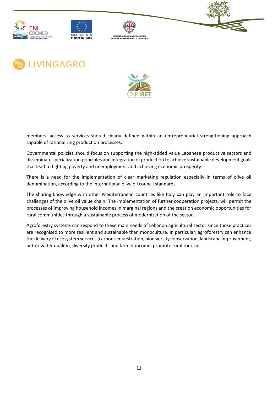











members' access to services should clearly defined within an entrepreneurial strengthening approach capable of rationalizing production processes.

Governmental policies should focus on supporting the high-added value Lebanese productive sectors and disseminate specialization principles and integration of production to achieve sustainable development goals that lead to fighting poverty and unemployment and achieving economic prosperity.

There is a need for the implementation of clear marketing regulation especially in terms of olive oil denomination, according to the international olive oil council standards.

The sharing knowledge with other Mediterranean countries like Italy can play an important role to face challenges of the olive oil value chain. The implementation of further cooperation projects, will permit the processes of improving household incomes in marginal regions and the creation economic opportunities for rural communities through a sustainable process of modernization of the sector.

Agroforestry systems can respond to these main needs of Lebanon agricultural sector since those practices are recognised to more resilient and sustainable than monoculture. In particular, agroforestry can enhance the delivery of ecosystem services (carbon sequestration, biodiversity conservation, landscape improvement, better water quality), diversify products and farmer income, promote rural tourism.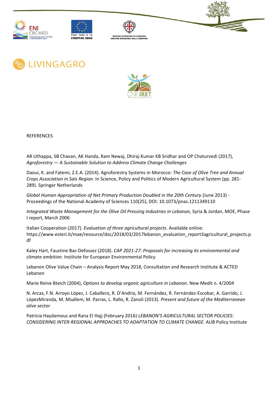











REFERENCES

AR Uthappa, SB Chavan, AK Handa, Ram Newaj, Dhiraj Kumar KB Sridhar and OP Chaturvedi (2017), *Agroforestry — A Sustainable Solution to Address Climate Change Challenges*

Daoui, K. and Fatemi, Z.E.A. (2014). Agroforestry Systems in Morocco: *The Case of Olive Tree and Annual Crops Association in Saïs Region*. In Science, Policy and Politics of Modern Agricultural System (pp. 281- 289). Springer Netherlands

*Global Human Appropriation of Net Primary Production Doubled in the 20th Century* (June 2013) - Proceedings of the National Academy of Sciences 110(25), DOI: 10.1073/pnas.1211349110

*Integrated Waste Management for the Olive Oil Pressing Industries in Lebanon*, Syria & Jordan, MOE, Phase I report, March 2006

Italian Cooperation (2017). *Evaluation of three agricultural projects*. Available online: https://www.esteri.it/mae/resource/doc/2018/03/2017lebanon\_evaluation\_report3agricultural\_projects.p df

Kaley Hart, Faustine Bas-Defossez (2018). *CAP 2021-27: Proposals for increasing its environmental and climate ambition*. Institute for European Environmental Policy

Lebanon Olive Value Chain – Analysis Report May 2018, Consultation and Research Institute & ACTED Lebanon

Marie Reine Bteich (2004), *Options to develop organic agriculture in Lebanon*. New Medit n. 4/2004

N. Arcas, F.N. Arroyo López, J. Caballero, R. D'Andria, M. Fernández, R. Fernández-Escobar, A. Garrido, J. LópezMiranda, M. Msallem, M. Parras, L. Rallo, R. Zanoli (2013). *Present and future of the Mediterranean olive sector*

Patricia Haydamous and Rana El Hajj (February 2016) *LEBANON'S AGRICULTURAL SECTOR POLICIES: CONSIDERING INTER-REGIONAL APPROACHES TO ADAPTATION TO CLIMATE CHANGE*. AUB Policy Institute